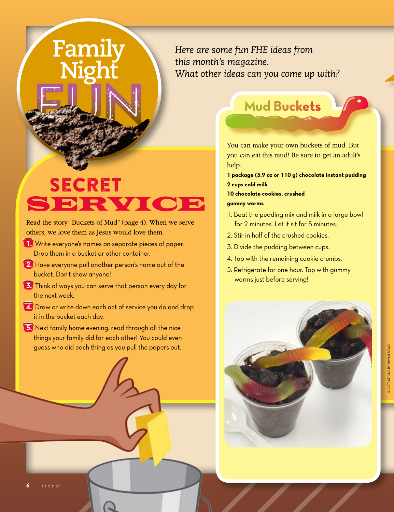# Family

*Here are some fun FHE ideas from this month's magazine. What other ideas can you come up with?*

# **SECRET** SERVIC

Read the story "Buckets of Mud" (page 4). When we serve others, we love them as Jesus would love them.

- **1.** Write everyone's names on separate pieces of paper. Drop them in a bucket or other container.
- **2.** Have everyone pull another person's name out of the bucket. Don't show anyone!
- **3.** Think of ways you can serve that person every day for the next week.
- **4.** Draw or write down each act of service you do and drop it in the bucket each day.
- **5.** Next family home evening, read through all the nice things your family did for each other! You could even guess who did each thing as you pull the papers out.

## **Mud Buckets**

You can make your own buckets of mud. But you can eat this mud! Be sure to get an adult's help.

**1 package (3.9 oz or 110 g) chocolate instant pudding 2 cups cold milk**

**10 chocolate cookies, crushed**

#### **gummy worms**

- 1. Beat the pudding mix and milk in a large bowl for 2 minutes. Let it sit for 5 minutes.
- 2. Stir in half of the crushed cookies.
- 3. Divide the pudding between cups.
- 4. Top with the remaining cookie crumbs.
- 5. Refrigerate for one hour. Top with gummy worms just before serving!